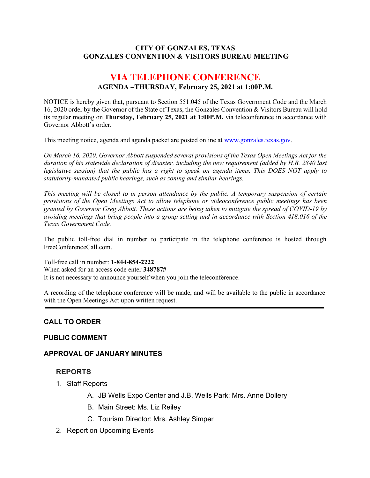# **CITY OF GONZALES, TEXAS GONZALES CONVENTION & VISITORS BUREAU MEETING**

# **VIA TELEPHONE CONFERENCE AGENDA –THURSDAY, February 25, 2021 at 1:00P.M.**

NOTICE is hereby given that, pursuant to Section 551.045 of the Texas Government Code and the March 16, 2020 order by the Governor of the State of Texas, the Gonzales Convention & Visitors Bureau will hold its regular meeting on **Thursday, February 25, 2021 at 1:00P.M.** via teleconference in accordance with Governor Abbott's order.

This meeting notice, agenda and agenda packet are posted online at www.gonzales.texas.gov.

*On March 16, 2020, Governor Abbott suspended several provisions of the Texas Open Meetings Act for the duration of his statewide declaration of disaster, including the new requirement (added by H.B. 2840 last legislative session) that the public has a right to speak on agenda items. This DOES NOT apply to statutorily-mandated public hearings, such as zoning and similar hearings.*

*This meeting will be closed to in person attendance by the public. A temporary suspension of certain provisions of the Open Meetings Act to allow telephone or videoconference public meetings has been granted by Governor Greg Abbott. These actions are being taken to mitigate the spread of COVID-19 by avoiding meetings that bring people into a group setting and in accordance with Section 418.016 of the Texas Government Code.*

The public toll-free dial in number to participate in the telephone conference is hosted through FreeConferenceCall.com.

Toll-free call in number: **1-844-854-2222** When asked for an access code enter **348787#**

It is not necessary to announce yourself when you join the teleconference.

A recording of the telephone conference will be made, and will be available to the public in accordance with the Open Meetings Act upon written request.

# **CALL TO ORDER**

#### **PUBLIC COMMENT**

#### **APPROVAL OF JANUARY MINUTES**

#### **REPORTS**

- 1. Staff Reports
	- A. JB Wells Expo Center and J.B. Wells Park: Mrs. Anne Dollery
	- B. Main Street: Ms. Liz Reiley
	- C. Tourism Director: Mrs. Ashley Simper
- 2. Report on Upcoming Events